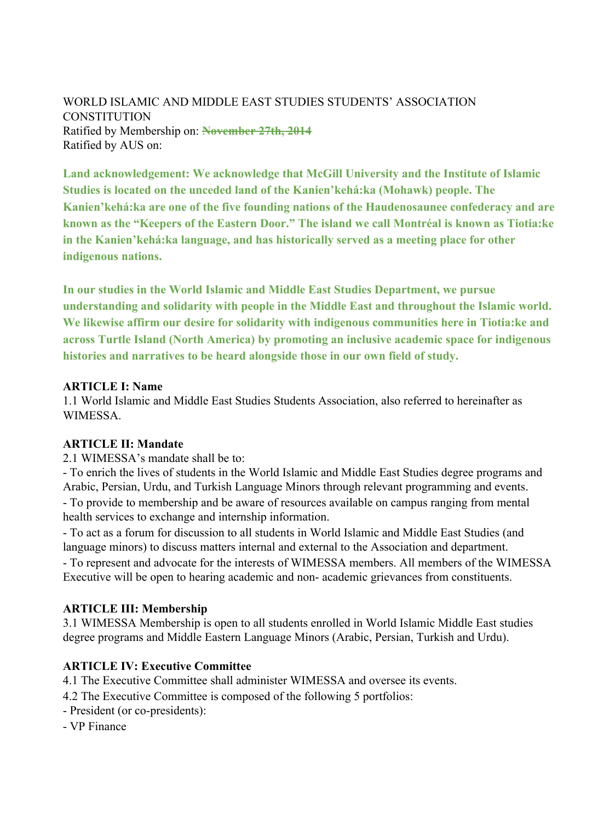WORLD ISLAMIC AND MIDDLE EAST STUDIES STUDENTS' ASSOCIATION **CONSTITUTION** Ratified by Membership on: **November 27th, 2014** Ratified by AUS on:

**Land acknowledgement: We acknowledge that McGill University and the Institute of Islamic Studies is located on the unceded land of the Kanien'kehá:ka (Mohawk) people. The Kanien'kehá:ka are one of the five founding nations of the Haudenosaunee confederacy and are known as the "Keepers of the Eastern Door." The island we call Montréal is known as Tiotia:ke in the Kanien'kehá:ka language, and has historically served as a meeting place for other indigenous nations.**

**In our studies in the World Islamic and Middle East Studies Department, we pursue understanding and solidarity with people in the Middle East and throughout the Islamic world. We likewise affirm our desire for solidarity with indigenous communities here in Tiotia:ke and across Turtle Island (North America) by promoting an inclusive academic space for indigenous histories and narratives to be heard alongside those in our own field of study.**

#### **ARTICLE I: Name**

1.1 World Islamic and Middle East Studies Students Association, also referred to hereinafter as **WIMESSA** 

#### **ARTICLE II: Mandate**

2.1 WIMESSA's mandate shall be to:

- To enrich the lives of students in the World Islamic and Middle East Studies degree programs and Arabic, Persian, Urdu, and Turkish Language Minors through relevant programming and events. - To provide to membership and be aware of resources available on campus ranging from mental health services to exchange and internship information.

- To act as a forum for discussion to all students in World Islamic and Middle East Studies (and language minors) to discuss matters internal and external to the Association and department. - To represent and advocate for the interests of WIMESSA members. All members of the WIMESSA Executive will be open to hearing academic and non- academic grievances from constituents.

#### **ARTICLE III: Membership**

3.1 WIMESSA Membership is open to all students enrolled in World Islamic Middle East studies degree programs and Middle Eastern Language Minors (Arabic, Persian, Turkish and Urdu).

### **ARTICLE IV: Executive Committee**

4.1 The Executive Committee shall administer WIMESSA and oversee its events.

- 4.2 The Executive Committee is composed of the following 5 portfolios:
- President (or co-presidents):
- VP Finance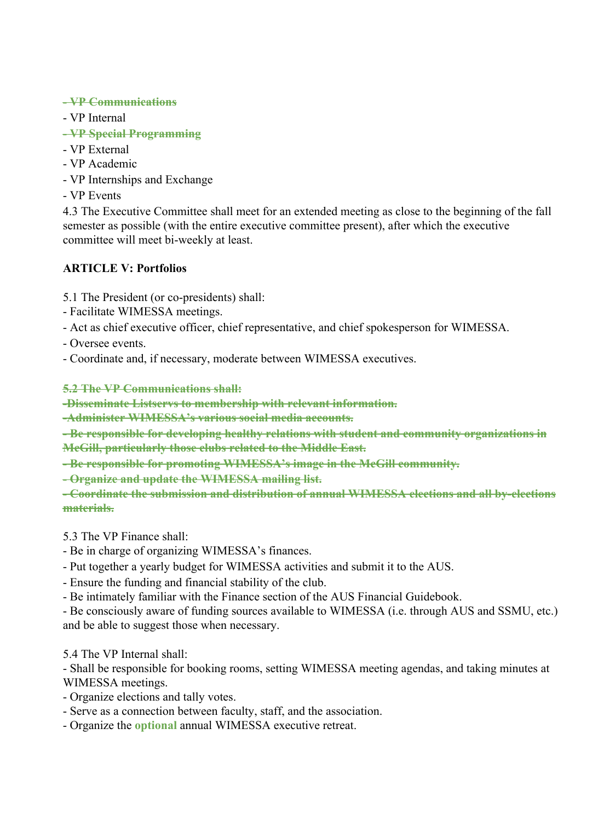### **- VP Communications**

- VP Internal
- **VP Special Programming**
- VP External
- VP Academic
- VP Internships and Exchange
- VP Events

4.3 The Executive Committee shall meet for an extended meeting as close to the beginning of the fall semester as possible (with the entire executive committee present), after which the executive committee will meet bi-weekly at least.

# **ARTICLE V: Portfolios**

- 5.1 The President (or co-presidents) shall:
- Facilitate WIMESSA meetings.
- Act as chief executive officer, chief representative, and chief spokesperson for WIMESSA.
- Oversee events.
- Coordinate and, if necessary, moderate between WIMESSA executives.

**5.2 The VP Communications shall:**

**-Disseminate Listservs to membership with relevant information.**

**-Administer WIMESSA's various social media accounts.**

**- Be responsible for developing healthy relations with student and community organizations in McGill, particularly those clubs related to the Middle East.**

**- Be responsible for promoting WIMESSA's image in the McGill community.**

**- Organize and update the WIMESSA mailing list.**

**- Coordinate the submission and distribution of annual WIMESSA elections and all by-elections materials.**

5.3 The VP Finance shall:

- Be in charge of organizing WIMESSA's finances.
- Put together a yearly budget for WIMESSA activities and submit it to the AUS.
- Ensure the funding and financial stability of the club.
- Be intimately familiar with the Finance section of the AUS Financial Guidebook.

- Be consciously aware of funding sources available to WIMESSA (i.e. through AUS and SSMU, etc.) and be able to suggest those when necessary.

5.4 The VP Internal shall:

- Shall be responsible for booking rooms, setting WIMESSA meeting agendas, and taking minutes at WIMESSA meetings.

- Organize elections and tally votes.
- Serve as a connection between faculty, staff, and the association.
- Organize the **optional** annual WIMESSA executive retreat.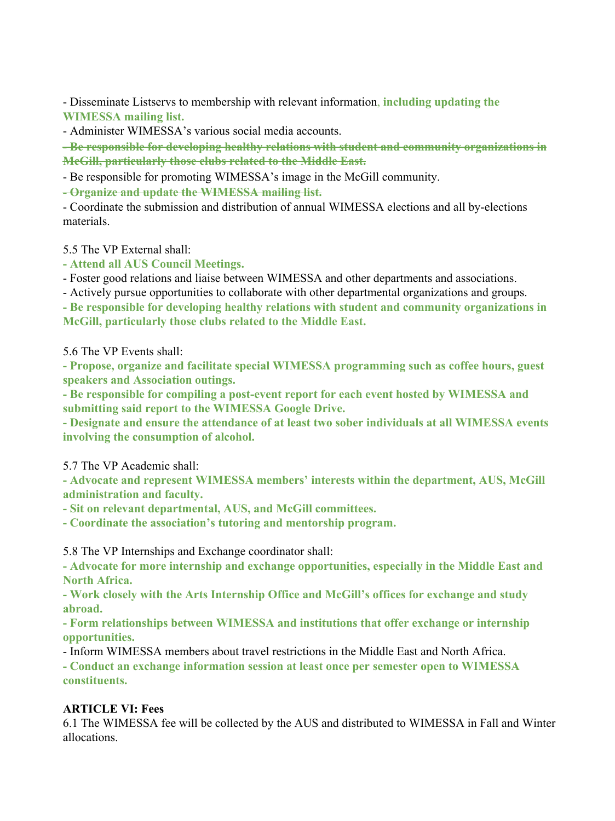- Disseminate Listservs to membership with relevant information, **including updating the WIMESSA mailing list.**

- Administer WIMESSA's various social media accounts.

**- Be responsible for developing healthy relations with student and community organizations in McGill, particularly those clubs related to the Middle East.**

- Be responsible for promoting WIMESSA's image in the McGill community.

**- Organize and update the WIMESSA mailing list.**

- Coordinate the submission and distribution of annual WIMESSA elections and all by-elections materials.

5.5 The VP External shall:

**- Attend all AUS Council Meetings.**

- Foster good relations and liaise between WIMESSA and other departments and associations.

- Actively pursue opportunities to collaborate with other departmental organizations and groups.

**- Be responsible for developing healthy relations with student and community organizations in McGill, particularly those clubs related to the Middle East.**

5.6 The VP Events shall:

**- Propose, organize and facilitate special WIMESSA programming such as coffee hours, guest speakers and Association outings.**

**- Be responsible for compiling a post-event report for each event hosted by WIMESSA and submitting said report to the WIMESSA Google Drive.**

**- Designate and ensure the attendance of at least two sober individuals at all WIMESSA events involving the consumption of alcohol.**

5.7 The VP Academic shall:

**- Advocate and represent WIMESSA members' interests within the department, AUS, McGill administration and faculty.**

**- Sit on relevant departmental, AUS, and McGill committees.**

**- Coordinate the association's tutoring and mentorship program.**

5.8 The VP Internships and Exchange coordinator shall:

**- Advocate for more internship and exchange opportunities, especially in the Middle East and North Africa.**

**- Work closely with the Arts Internship Office and McGill's offices for exchange and study abroad.**

**- Form relationships between WIMESSA and institutions that offer exchange or internship opportunities.**

- Inform WIMESSA members about travel restrictions in the Middle East and North Africa.

**- Conduct an exchange information session at least once per semester open to WIMESSA constituents.**

## **ARTICLE VI: Fees**

6.1 The WIMESSA fee will be collected by the AUS and distributed to WIMESSA in Fall and Winter allocations.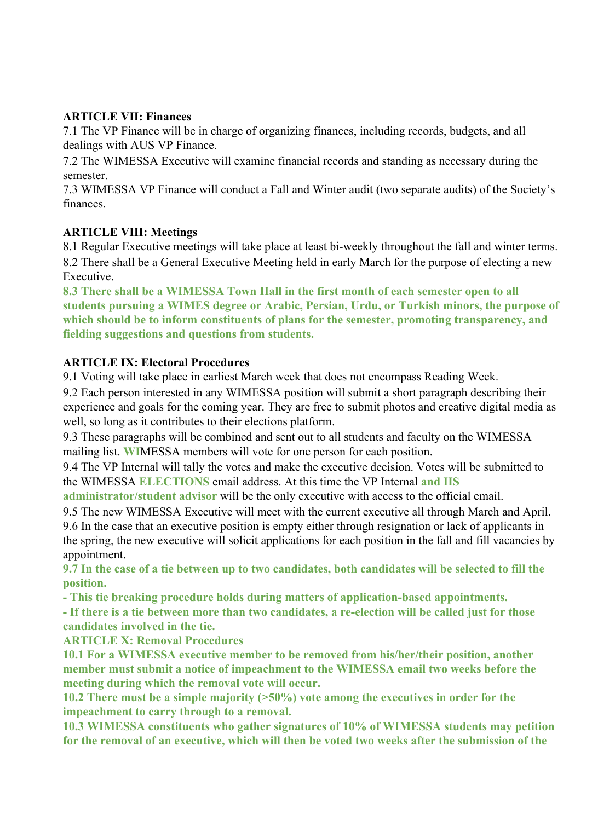# **ARTICLE VII: Finances**

7.1 The VP Finance will be in charge of organizing finances, including records, budgets, and all dealings with AUS VP Finance.

7.2 The WIMESSA Executive will examine financial records and standing as necessary during the semester.

7.3 WIMESSA VP Finance will conduct a Fall and Winter audit (two separate audits) of the Society's finances.

# **ARTICLE VIII: Meetings**

8.1 Regular Executive meetings will take place at least bi-weekly throughout the fall and winter terms. 8.2 There shall be a General Executive Meeting held in early March for the purpose of electing a new Executive.

**8.3 There shall be a WIMESSA Town Hall in the first month of each semester open to all students pursuing a WIMES degree or Arabic, Persian, Urdu, or Turkish minors, the purpose of which should be to inform constituents of plans for the semester, promoting transparency, and fielding suggestions and questions from students.**

# **ARTICLE IX: Electoral Procedures**

9.1 Voting will take place in earliest March week that does not encompass Reading Week.

9.2 Each person interested in any WIMESSA position will submit a short paragraph describing their experience and goals for the coming year. They are free to submit photos and creative digital media as well, so long as it contributes to their elections platform.

9.3 These paragraphs will be combined and sent out to all students and faculty on the WIMESSA mailing list. **WI**MESSA members will vote for one person for each position.

9.4 The VP Internal will tally the votes and make the executive decision. Votes will be submitted to the WIMESSA **ELECTIONS** email address. At this time the VP Internal **and IIS**

**administrator/student advisor** will be the only executive with access to the official email.

9.5 The new WIMESSA Executive will meet with the current executive all through March and April. 9.6 In the case that an executive position is empty either through resignation or lack of applicants in the spring, the new executive will solicit applications for each position in the fall and fill vacancies by appointment.

**9.7 In the case of a tie between up to two candidates, both candidates will be selected to fill the position.**

**- This tie breaking procedure holds during matters of application-based appointments.**

**- If there is a tie between more than two candidates, a re-election will be called just for those candidates involved in the tie.**

## **ARTICLE X: Removal Procedures**

**10.1 For a WIMESSA executive member to be removed from his/her/their position, another member must submit a notice of impeachment to the WIMESSA email two weeks before the meeting during which the removal vote will occur.**

**10.2 There must be a simple majority (>50%) vote among the executives in order for the impeachment to carry through to a removal.**

**10.3 WIMESSA constituents who gather signatures of 10% of WIMESSA students may petition for the removal of an executive, which will then be voted two weeks after the submission of the**